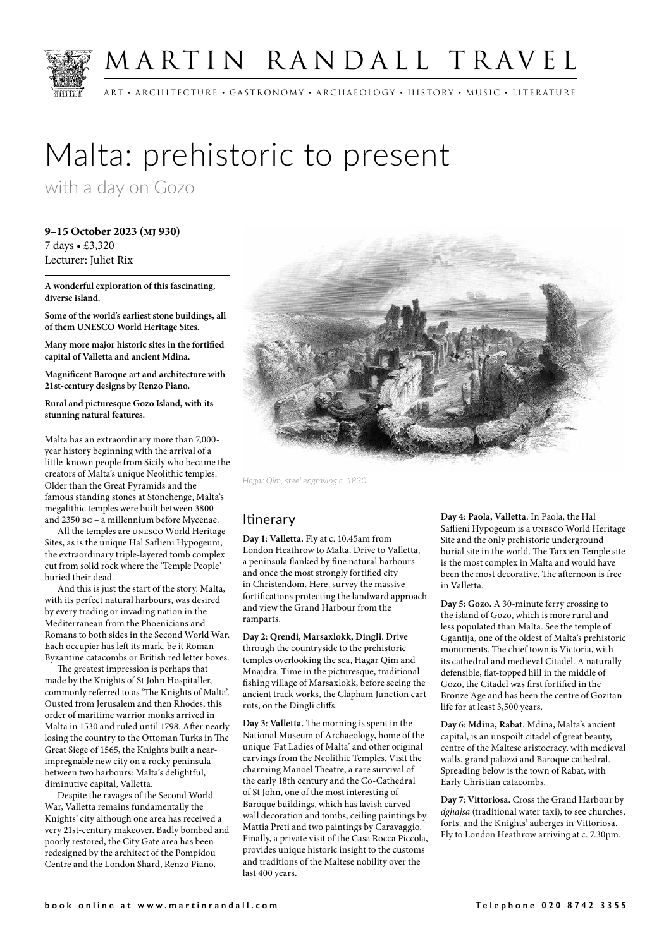

## MARTIN RANDALL TRAVEL

ART • ARCHITECTURE • GASTRONOMY • ARCHAEOLOGY • HISTORY • MUSIC • LITERATURE

# Malta: prehistoric to present

with a day on Gozo

**9–15 October 2023 (mj 930)** 7 days • £3,320 Lecturer: Juliet Rix

**A wonderful exploration of this fascinating, diverse island.**

**Some of the world's earliest stone buildings, all of them UNESCO World Heritage Sites.**

**Many more major historic sites in the fortified capital of Valletta and ancient Mdina.**

**Magnificent Baroque art and architecture with 21st-century designs by Renzo Piano.**

**Rural and picturesque Gozo Island, with its stunning natural features.**

Malta has an extraordinary more than 7,000 year history beginning with the arrival of a little-known people from Sicily who became the creators of Malta's unique Neolithic temples. Older than the Great Pyramids and the famous standing stones at Stonehenge, Malta's megalithic temples were built between 3800 and 2350 bc – a millennium before Mycenae.

All the temples are unesco World Heritage Sites, as is the unique Hal Saflieni Hypogeum, the extraordinary triple-layered tomb complex cut from solid rock where the 'Temple People' buried their dead.

And this is just the start of the story. Malta, with its perfect natural harbours, was desired by every trading or invading nation in the Mediterranean from the Phoenicians and Romans to both sides in the Second World War. Each occupier has left its mark, be it Roman-Byzantine catacombs or British red letter boxes.

The greatest impression is perhaps that made by the Knights of St John Hospitaller, commonly referred to as 'The Knights of Malta'. Ousted from Jerusalem and then Rhodes, this order of maritime warrior monks arrived in Malta in 1530 and ruled until 1798. After nearly losing the country to the Ottoman Turks in The Great Siege of 1565, the Knights built a nearimpregnable new city on a rocky peninsula between two harbours: Malta's delightful, diminutive capital, Valletta.

Despite the ravages of the Second World War, Valletta remains fundamentally the Knights' city although one area has received a very 21st-century makeover. Badly bombed and poorly restored, the City Gate area has been redesigned by the architect of the Pompidou Centre and the London Shard, Renzo Piano.



*Hagar Qim, steel engraving c. 1830.*

### **Itinerary**

**Day 1: Valletta.** Fly at c. 10.45am from London Heathrow to Malta. Drive to Valletta, a peninsula flanked by fine natural harbours and once the most strongly fortified city in Christendom. Here, survey the massive fortifications protecting the landward approach and view the Grand Harbour from the ramparts.

**Day 2: Qrendi, Marsaxlokk, Dingli.** Drive through the countryside to the prehistoric temples overlooking the sea, Hagar Qim and Mnajdra. Time in the picturesque, traditional fishing village of Marsaxlokk, before seeing the ancient track works, the Clapham Junction cart ruts, on the Dingli cliffs.

**Day 3: Valletta.** The morning is spent in the National Museum of Archaeology, home of the unique 'Fat Ladies of Malta' and other original carvings from the Neolithic Temples. Visit the charming Manoel Theatre, a rare survival of the early 18th century and the Co-Cathedral of St John, one of the most interesting of Baroque buildings, which has lavish carved wall decoration and tombs, ceiling paintings by Mattia Preti and two paintings by Caravaggio. Finally, a private visit of the Casa Rocca Piccola, provides unique historic insight to the customs and traditions of the Maltese nobility over the last 400 years.

**Day 4: Paola, Valletta.** In Paola, the Hal Saflieni Hypogeum is a unesco World Heritage Site and the only prehistoric underground burial site in the world. The Tarxien Temple site is the most complex in Malta and would have been the most decorative. The afternoon is free in Valletta.

**Day 5: Gozo.** A 30-minute ferry crossing to the island of Gozo, which is more rural and less populated than Malta. See the temple of Ggantija, one of the oldest of Malta's prehistoric monuments. The chief town is Victoria, with its cathedral and medieval Citadel. A naturally defensible, flat-topped hill in the middle of Gozo, the Citadel was first fortified in the Bronze Age and has been the centre of Gozitan life for at least 3,500 years.

**Day 6: Mdina, Rabat.** Mdina, Malta's ancient capital, is an unspoilt citadel of great beauty, centre of the Maltese aristocracy, with medieval walls, grand palazzi and Baroque cathedral. Spreading below is the town of Rabat, with Early Christian catacombs.

**Day 7: Vittoriosa.** Cross the Grand Harbour by *dghajsa* (traditional water taxi), to see churches, forts, and the Knights' auberges in Vittoriosa. Fly to London Heathrow arriving at c. 7.30pm.